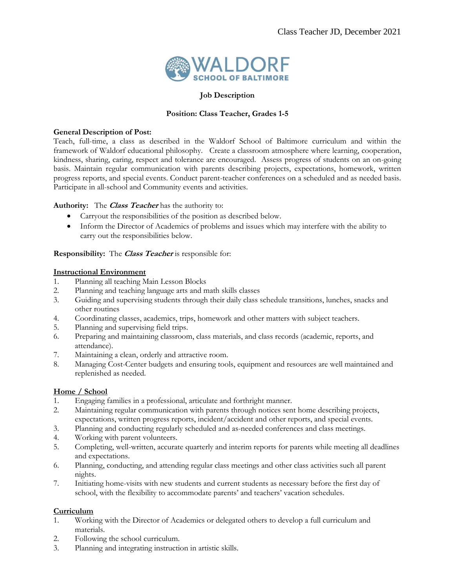

#### **Job Description**

#### **Position: Class Teacher, Grades 1-5**

#### **General Description of Post:**

Teach, full-time, a class as described in the Waldorf School of Baltimore curriculum and within the framework of Waldorf educational philosophy. Create a classroom atmosphere where learning, cooperation, kindness, sharing, caring, respect and tolerance are encouraged. Assess progress of students on an on-going basis. Maintain regular communication with parents describing projects, expectations, homework, written progress reports, and special events. Conduct parent-teacher conferences on a scheduled and as needed basis. Participate in all-school and Community events and activities.

## **Authority:** The **Class Teacher** has the authority to:

- Carryout the responsibilities of the position as described below.
- Inform the Director of Academics of problems and issues which may interfere with the ability to carry out the responsibilities below.

## **Responsibility:** The **Class Teacher** is responsible for:

#### **Instructional Environment**

- 1. Planning all teaching Main Lesson Blocks
- 2. Planning and teaching language arts and math skills classes
- 3. Guiding and supervising students through their daily class schedule transitions, lunches, snacks and other routines
- 4. Coordinating classes, academics, trips, homework and other matters with subject teachers.
- 5. Planning and supervising field trips.
- 6. Preparing and maintaining classroom, class materials, and class records (academic, reports, and attendance).
- 7. Maintaining a clean, orderly and attractive room.
- 8. Managing Cost-Center budgets and ensuring tools, equipment and resources are well maintained and replenished as needed.

## **Home / School**

- 1. Engaging families in a professional, articulate and forthright manner.
- 2. Maintaining regular communication with parents through notices sent home describing projects, expectations, written progress reports, incident/accident and other reports, and special events.
- 3. Planning and conducting regularly scheduled and as-needed conferences and class meetings.
- 4. Working with parent volunteers.
- 5. Completing, well-written, accurate quarterly and interim reports for parents while meeting all deadlines and expectations.
- 6. Planning, conducting, and attending regular class meetings and other class activities such all parent nights.
- 7. Initiating home-visits with new students and current students as necessary before the first day of school, with the flexibility to accommodate parents' and teachers' vacation schedules.

## **Curriculum**

- 1. Working with the Director of Academics or delegated others to develop a full curriculum and materials.
- 2. Following the school curriculum.
- 3. Planning and integrating instruction in artistic skills.